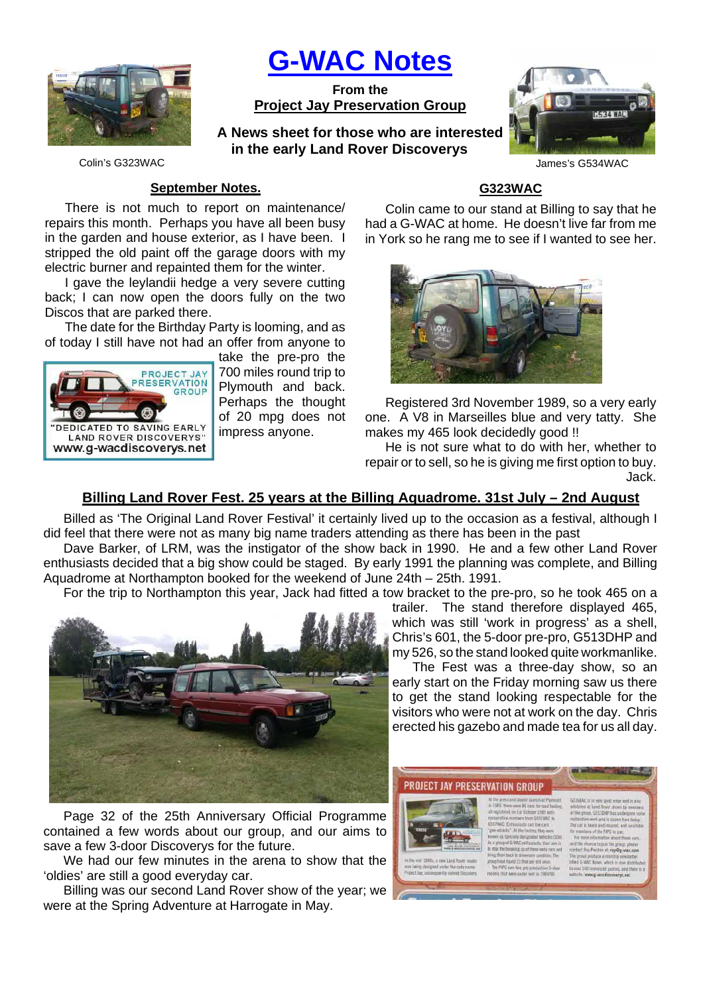

**G-WAC Notes**

**From the Project Jay Preservation Group**

**A News sheet for those who are interested in the early Land Rover Discoverys**



Colin's G323WAC James's G534WAC

### **September Notes.**

There is not much to report on maintenance/ repairs this month. Perhaps you have all been busy in the garden and house exterior, as I have been. I stripped the old paint off the garage doors with my electric burner and repainted them for the winter.

I gave the leylandii hedge a very severe cutting back; I can now open the doors fully on the two Discos that are parked there.

The date for the Birthday Party is looming, and as of today I still have not had an offer from anyone to



take the pre-pro the 700 miles round trip to Plymouth and back. Perhaps the thought of 20 mpg does not impress anyone.

# **G323WAC**

Colin came to our stand at Billing to say that he had a G-WAC at home. He doesn't live far from me in York so he rang me to see if I wanted to see her.



Registered 3rd November 1989, so a very early one. A V8 in Marseilles blue and very tatty. She makes my 465 look decidedly good !!

He is not sure what to do with her, whether to repair or to sell, so he is giving me first option to buy. Jack.

## **Billing Land Rover Fest. 25 years at the Billing Aquadrome. 31st July – 2nd August**

Billed as 'The Original Land Rover Festival' it certainly lived up to the occasion as a festival, although I did feel that there were not as many big name traders attending as there has been in the past

Dave Barker, of LRM, was the instigator of the show back in 1990. He and a few other Land Rover enthusiasts decided that a big show could be staged. By early 1991 the planning was complete, and Billing Aquadrome at Northampton booked for the weekend of June 24th – 25th. 1991.

For the trip to Northampton this year, Jack had fitted a tow bracket to the pre-pro, so he took 465 on a



Page 32 of the 25th Anniversary Official Programme contained a few words about our group, and our aims to save a few 3-door Discoverys for the future.

We had our few minutes in the arena to show that the 'oldies' are still a good everyday car.

Billing was our second Land Rover show of the year; we were at the Spring Adventure at Harrogate in May.

trailer. The stand therefore displayed 465, which was still 'work in progress' as a shell, Chris's 601, the 5-door pre-pro, G513DHP and my 526, so the stand looked quite workmanlike.

The Fest was a three-day show, so an early start on the Friday morning saw us there to get the stand looking respectable for the visitors who were not at work on the day. Chris erected his gazebo and made tea for us all day.

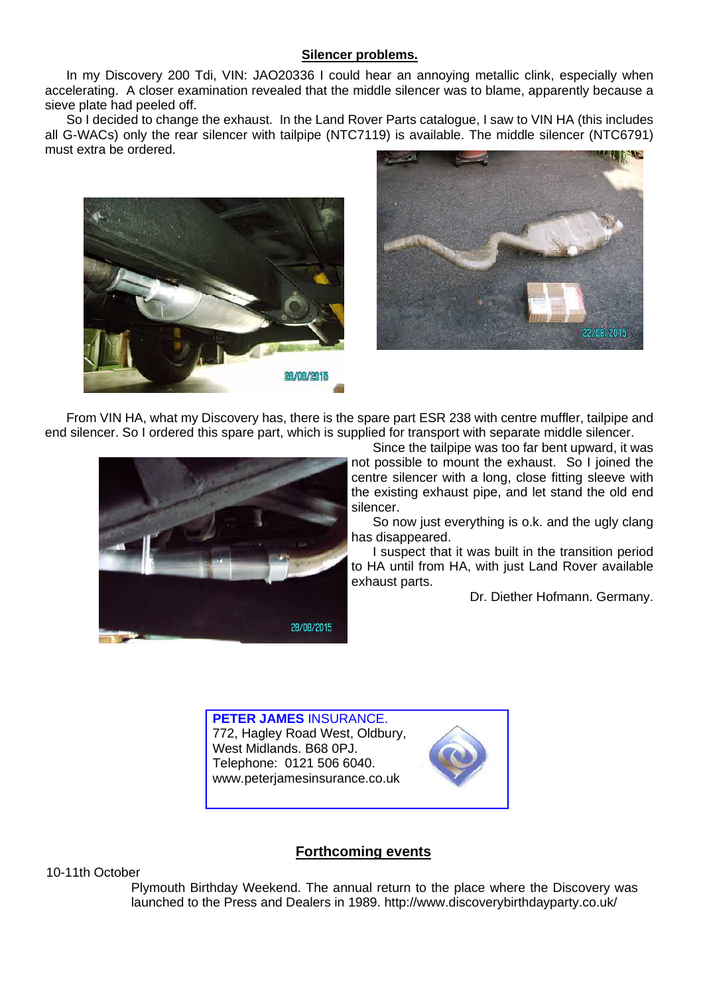### **Silencer problems.**

In my Discovery 200 Tdi, VIN: JAO20336 I could hear an annoying metallic clink, especially when accelerating. A closer examination revealed that the middle silencer was to blame, apparently because a sieve plate had peeled off.

So I decided to change the exhaust. In the Land Rover Parts catalogue, I saw to VIN HA (this includes all G-WACs) only the rear silencer with tailpipe (NTC7119) is available. The middle silencer (NTC6791) must extra be ordered.





From VIN HA, what my Discovery has, there is the spare part ESR 238 with centre muffler, tailpipe and end silencer. So I ordered this spare part, which is supplied for transport with separate middle silencer.



Since the tailpipe was too far bent upward, it was not possible to mount the exhaust. So I joined the centre silencer with a long, close fitting sleeve with the existing exhaust pipe, and let stand the old end silencer.

So now just everything is o.k. and the ugly clang has disappeared.

I suspect that it was built in the transition period to HA until from HA, with just Land Rover available exhaust parts.

Dr. Diether Hofmann. Germany.

**PETER JAMES** INSURANCE. 772, Hagley Road West, Oldbury, West Midlands. B68 0PJ. Telephone: 0121 506 6040. www.peterjamesinsurance.co.uk



## **Forthcoming events**

10-11th October

 Plymouth Birthday Weekend. The annual return to the place where the Discovery was launched to the Press and Dealers in 1989. http://www.discoverybirthdayparty.co.uk/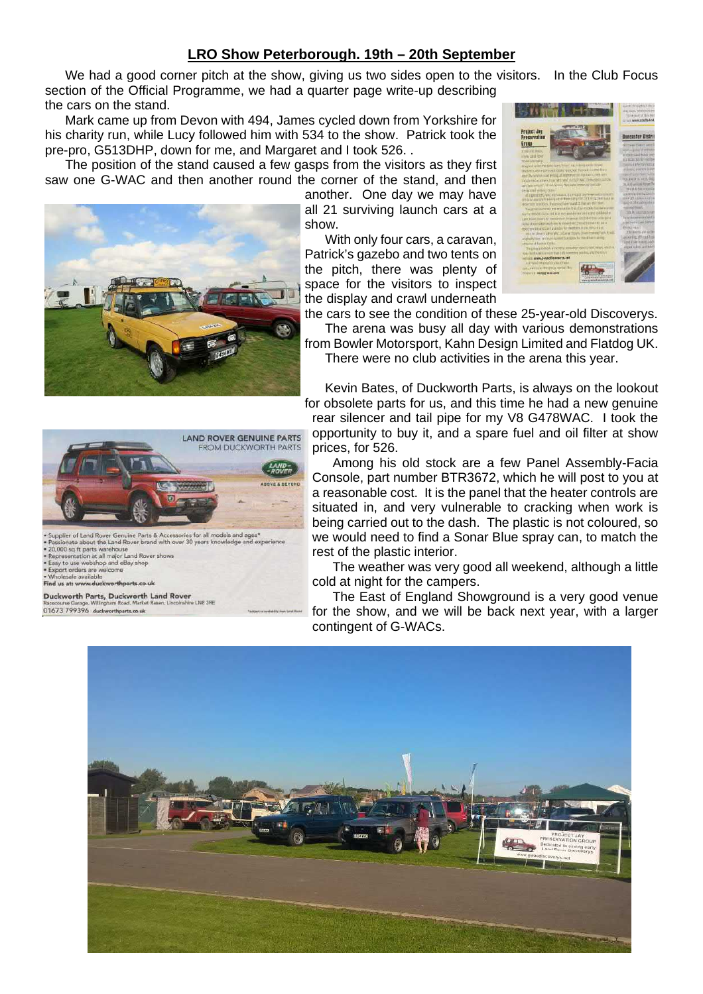## **LRO Show Peterborough. 19th – 20th September**

We had a good corner pitch at the show, giving us two sides open to the visitors. In the Club Focus section of the Official Programme, we had a quarter page write-up describing the cars on the stand.

Mark came up from Devon with 494, James cycled down from Yorkshire for his charity run, while Lucy followed him with 534 to the show. Patrick took the pre-pro, G513DHP, down for me, and Margaret and I took 526. .

The position of the stand caused a few gasps from the visitors as they first saw one G-WAC and then another round the corner of the stand, and then

another. One day we may have all 21 surviving launch cars at a show.

With only four cars, a caravan, Patrick's gazebo and two tents on the pitch, there was plenty of space for the visitors to inspect the display and crawl underneath



There were no club activities in the arena this year.

Kevin Bates, of Duckworth Parts, is always on the lookout for obsolete parts for us, and this time he had a new genuine rear silencer and tail pipe for my V8 G478WAC. I took the opportunity to buy it, and a spare fuel and oil filter at show prices, for 526.

Among his old stock are a few Panel Assembly-Facia Console, part number BTR3672, which he will post to you at a reasonable cost. It is the panel that the heater controls are situated in, and very vulnerable to cracking when work is being carried out to the dash. The plastic is not coloured, so we would need to find a Sonar Blue spray can, to match the rest of the plastic interior.

The weather was very good all weekend, although a little cold at night for the campers.

The East of England Showground is a very good venue for the show, and we will be back next year, with a larger contingent of G-WACs.







upplier of Land Rover Genuine Parts & Accessories for all models and ages' onate about the Land Royer brand with over 30 years k d avn Passionate about the Land rover brand with c<br>20,000 sq ft parts warehouse<br>Representation at all major Land Rover shows<br>Exay to use webshop and eBay shop<br>Exact orders are welcome

us at: www.duckworthparts.co.uk

Duckworth Parts, Duckworth Land Rover 01673 799396 duckworthparts.co.uk